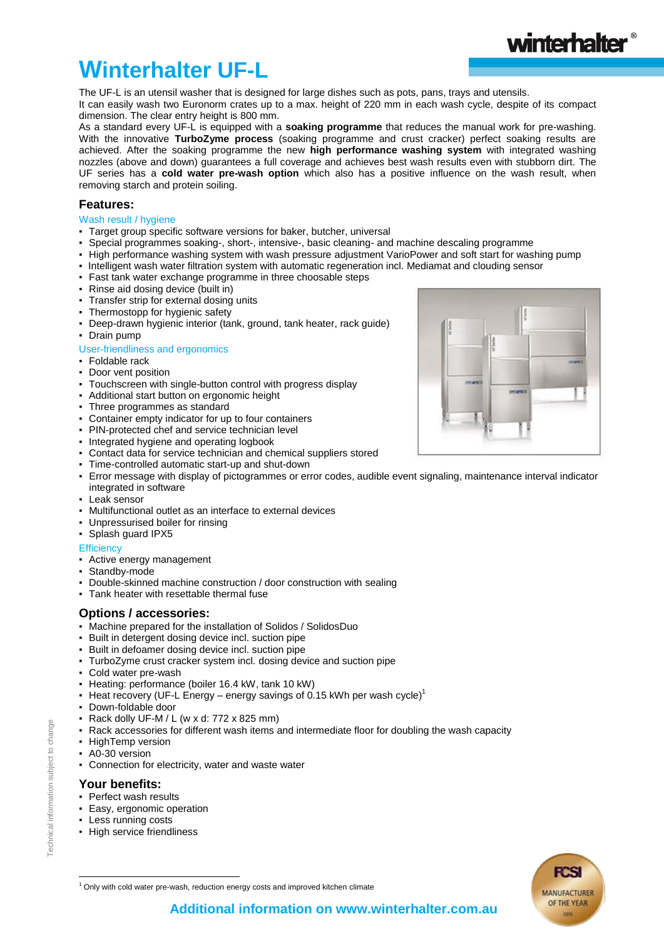# **Additional information on www.winterhalter.com.au**

# **Winterhalter UF-L**

The UF-L is an utensil washer that is designed for large dishes such as pots, pans, trays and utensils. It can easily wash two Euronorm crates up to a max. height of 220 mm in each wash cycle, despite of its compact

dimension. The clear entry height is 800 mm.

As a standard every UF-L is equipped with a **soaking programme** that reduces the manual work for pre-washing. With the innovative **TurboZyme process** (soaking programme and crust cracker) perfect soaking results are achieved. After the soaking programme the new **high performance washing system** with integrated washing nozzles (above and down) guarantees a full coverage and achieves best wash results even with stubborn dirt. The UF series has a **cold water pre-wash option** which also has a positive influence on the wash result, when removing starch and protein soiling.

# **Features:**

### Wash result / hygiene

- Target group specific software versions for baker, butcher, universal
- Special programmes soaking-, short-, intensive-, basic cleaning- and machine descaling programme
- High performance washing system with wash pressure adjustment VarioPower and soft start for washing pump
- Intelligent wash water filtration system with automatic regeneration incl. Mediamat and clouding sensor
- Fast tank water exchange programme in three choosable steps
- Rinse aid dosing device (built in)
- Transfer strip for external dosing units
- **Thermostopp for hygienic safety**
- Deep-drawn hygienic interior (tank, ground, tank heater, rack guide)
- Drain pump

# User-friendliness and ergonomics

- Foldable rack
- Door vent position
- Touchscreen with single-button control with progress display
- Additional start button on ergonomic height
- Three programmes as standard
- Container empty indicator for up to four containers
- PIN-protected chef and service technician level
- Integrated hygiene and operating logbook
- Contact data for service technician and chemical suppliers stored
- Time-controlled automatic start-up and shut-down
- Error message with display of pictogrammes or error codes, audible event signaling, maintenance interval indicator integrated in software
- Leak sensor
- Multifunctional outlet as an interface to external devices
- Unpressurised boiler for rinsing
- Splash guard IPX5

#### **Efficiency**

- Active energy management
- Standby-mode
- Double-skinned machine construction / door construction with sealing
- Tank heater with resettable thermal fuse

# **Options / accessories:**

- Machine prepared for the installation of Solidos / SolidosDuo
- Built in detergent dosing device incl. suction pipe
- Built in defoamer dosing device incl. suction pipe
- TurboZyme crust cracker system incl. dosing device and suction pipe

 $1$  Only with cold water pre-wash, reduction energy costs and improved kitchen climate

- Cold water pre-wash
- Heating: performance (boiler 16.4 kW, tank 10 kW)
- **Heat recovery (UF-L Energy energy savings of 0.15 kWh per wash cycle)**<sup>1</sup>
- Down-foldable door
- $\blacksquare$  Rack dolly UF-M / L (w x d: 772 x 825 mm)
- Rack accessories for different wash items and intermediate floor for doubling the wash capacity
- HighTemp version
- A0-30 version
- Connection for electricity, water and waste water

#### **Your benefits:**

- Perfect wash results
- Easy, ergonomic operation
- Less running costs
- High service friendliness





winterhalter

1

Technical information subject to change

Technical information subject to change